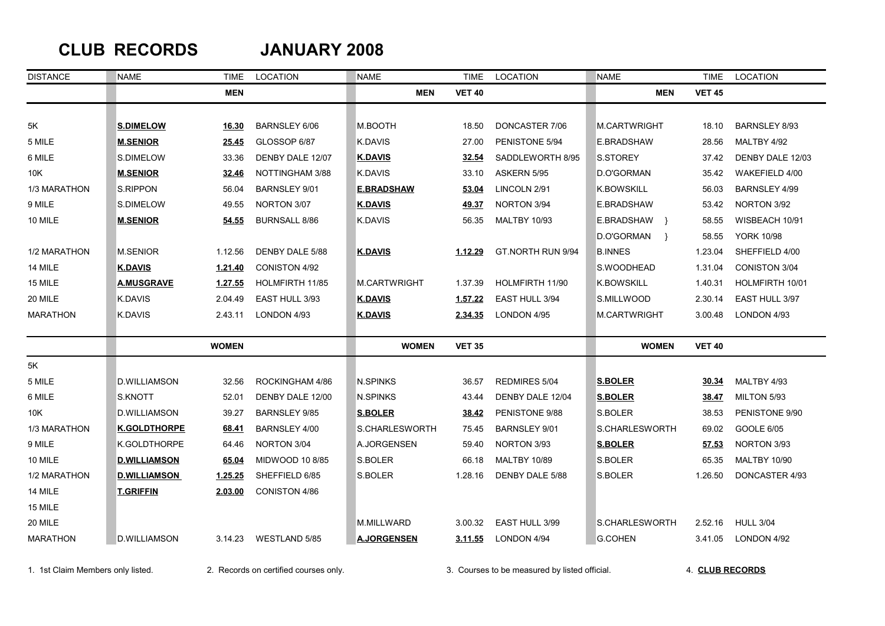## **CLUB RECORDS JANUARY 2008**

| <b>DISTANCE</b> | <b>NAME</b>         | TIME         | <b>LOCATION</b>      | <b>NAME</b>         | <b>TIME</b>    | LOCATION              | <b>NAME</b>         | <b>TIME</b>   | LOCATION             |
|-----------------|---------------------|--------------|----------------------|---------------------|----------------|-----------------------|---------------------|---------------|----------------------|
|                 |                     | <b>MEN</b>   |                      | <b>MEN</b>          | <b>VET 40</b>  |                       | <b>MEN</b>          | <b>VET 45</b> |                      |
|                 |                     |              |                      |                     |                |                       |                     |               |                      |
| 5K              | <b>S.DIMELOW</b>    | 16.30        | <b>BARNSLEY 6/06</b> | M.BOOTH             | 18.50          | DONCASTER 7/06        | M.CARTWRIGHT        | 18.10         | <b>BARNSLEY 8/93</b> |
| 5 MILE          | <b>M.SENIOR</b>     | <u>25.45</u> | GLOSSOP 6/87         | K.DAVIS             | 27.00          | PENISTONE 5/94        | E.BRADSHAW          | 28.56         | MALTBY 4/92          |
| 6 MILE          | S.DIMELOW           | 33.36        | DENBY DALE 12/07     | <b>K.DAVIS</b>      | 32.54          | SADDLEWORTH 8/95      | S.STOREY            | 37.42         | DENBY DALE 12/03     |
| 10K             | <b>M.SENIOR</b>     | 32.46        | NOTTINGHAM 3/88      | K.DAVIS             | 33.10          | ASKERN 5/95           | D.O'GORMAN          | 35.42         | WAKEFIELD 4/00       |
| 1/3 MARATHON    | S.RIPPON            | 56.04        | BARNSLEY 9/01        | <b>E.BRADSHAW</b>   | 53.04          | LINCOLN 2/91          | <b>K.BOWSKILL</b>   | 56.03         | <b>BARNSLEY 4/99</b> |
| 9 MILE          | S.DIMELOW           | 49.55        | NORTON 3/07          | <b>K.DAVIS</b>      | 49.37          | NORTON 3/94           | E.BRADSHAW          | 53.42         | NORTON 3/92          |
| 10 MILE         | <b>M.SENIOR</b>     | 54.55        | <b>BURNSALL 8/86</b> | K.DAVIS             | 56.35          | <b>MALTBY 10/93</b>   | E.BRADSHAW }        | 58.55         | WISBEACH 10/91       |
|                 |                     |              |                      |                     |                |                       | D.O'GORMAN }        | 58.55         | <b>YORK 10/98</b>    |
| 1/2 MARATHON    | <b>M.SENIOR</b>     | 1.12.56      | DENBY DALE 5/88      | <b>K.DAVIS</b>      | 1.12.29        | GT.NORTH RUN 9/94     | <b>B.INNES</b>      | 1.23.04       | SHEFFIELD 4/00       |
| 14 MILE         | <b>K.DAVIS</b>      | 1.21.40      | <b>CONISTON 4/92</b> |                     |                |                       | S.WOODHEAD          | 1.31.04       | <b>CONISTON 3/04</b> |
| 15 MILE         | <b>A.MUSGRAVE</b>   | 1.27.55      | HOLMFIRTH 11/85      | <b>M.CARTWRIGHT</b> | 1.37.39        | HOLMFIRTH 11/90       | <b>K.BOWSKILL</b>   | 1.40.31       | HOLMFIRTH 10/01      |
| 20 MILE         | <b>K.DAVIS</b>      | 2.04.49      | EAST HULL 3/93       | <b>K.DAVIS</b>      | 1.57.22        | EAST HULL 3/94        | S.MILLWOOD          | 2.30.14       | EAST HULL 3/97       |
| <b>MARATHON</b> | K.DAVIS             | 2.43.11      | LONDON 4/93          | <u>K.DAVIS</u>      | <u>2.34.35</u> | LONDON 4/95           | <b>M.CARTWRIGHT</b> | 3.00.48       | LONDON 4/93          |
|                 |                     | <b>WOMEN</b> |                      | <b>WOMEN</b>        | <b>VET 35</b>  |                       | <b>WOMEN</b>        | <b>VET 40</b> |                      |
| 5K              |                     |              |                      |                     |                |                       |                     |               |                      |
| 5 MILE          | <b>D.WILLIAMSON</b> | 32.56        | ROCKINGHAM 4/86      | <b>N.SPINKS</b>     | 36.57          | <b>REDMIRES 5/04</b>  | <b>S.BOLER</b>      | <u>30.34</u>  | MALTBY 4/93          |
| 6 MILE          | S.KNOTT             | 52.01        | DENBY DALE 12/00     | <b>N.SPINKS</b>     | 43.44          | DENBY DALE 12/04      | <b>S.BOLER</b>      | 38.47         | MILTON 5/93          |
| 10K             | <b>D.WILLIAMSON</b> | 39.27        | <b>BARNSLEY 9/85</b> | <b>S.BOLER</b>      | 38.42          | PENISTONE 9/88        | S.BOLER             | 38.53         | PENISTONE 9/90       |
| 1/3 MARATHON    | <b>K.GOLDTHORPE</b> | 68.41        | BARNSLEY 4/00        | S.CHARLESWORTH      | 75.45          | <b>BARNSLEY 9/01</b>  | S.CHARLESWORTH      | 69.02         | <b>GOOLE 6/05</b>    |
| 9 MILE          | K.GOLDTHORPE        | 64.46        | NORTON 3/04          | A.JORGENSEN         | 59.40          | NORTON 3/93           | <b>S.BOLER</b>      | 57.53         | NORTON 3/93          |
| 10 MILE         | <b>D.WILLIAMSON</b> | 65.04        | MIDWOOD 10 8/85      | S.BOLER             | 66.18          | <b>MALTBY 10/89</b>   | S.BOLER             | 65.35         | <b>MALTBY 10/90</b>  |
| 1/2 MARATHON    | <b>D.WILLIAMSON</b> | 1.25.25      | SHEFFIELD 6/85       | S.BOLER             | 1.28.16        | DENBY DALE 5/88       | S.BOLER             | 1.26.50       | DONCASTER 4/93       |
| 14 MILE         | <b>T.GRIFFIN</b>    | 2.03.00      | CONISTON 4/86        |                     |                |                       |                     |               |                      |
| 15 MILE         |                     |              |                      |                     |                |                       |                     |               |                      |
| 20 MILE         |                     |              |                      | M.MILLWARD          | 3.00.32        | <b>EAST HULL 3/99</b> | S.CHARLESWORTH      | 2.52.16       | <b>HULL 3/04</b>     |
| <b>MARATHON</b> | <b>D.WILLIAMSON</b> | 3.14.23      | WESTLAND 5/85        | <b>A.JORGENSEN</b>  | <u>3.11.55</u> | LONDON 4/94           | <b>G.COHEN</b>      | 3.41.05       | LONDON 4/92          |

1. 1st Claim Members only listed. 2. Records on certified courses only. 3. Courses to be measured by listed official. 4. **CLUB RECORDS**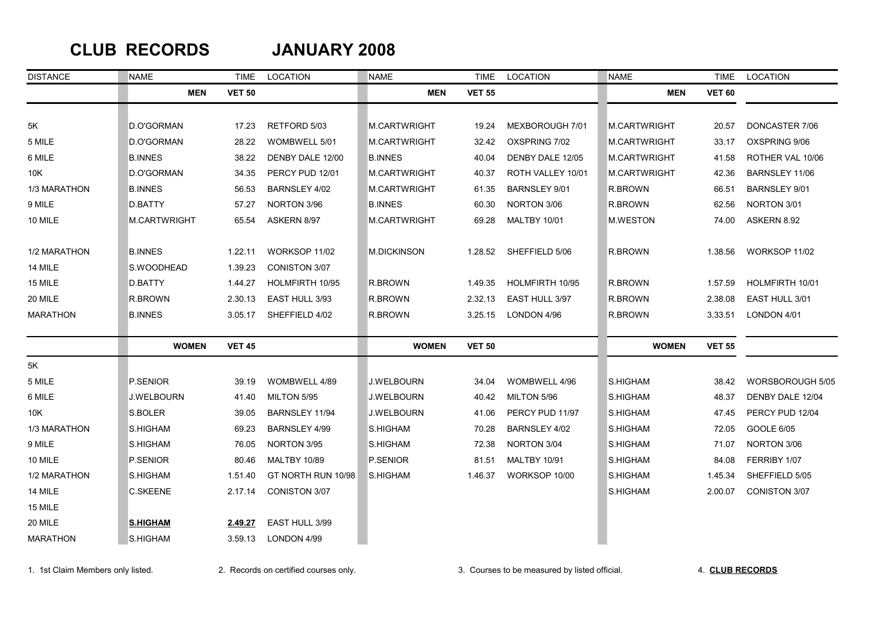### **CLUB RECORDS JANUARY 2008**

| <b>DISTANCE</b> | <b>NAME</b>       | <b>TIME</b>   | LOCATION             | <b>NAME</b>        | <b>TIME</b>   | LOCATION             | <b>NAME</b>     | <b>TIME</b>   | LOCATION             |
|-----------------|-------------------|---------------|----------------------|--------------------|---------------|----------------------|-----------------|---------------|----------------------|
|                 | <b>MEN</b>        | <b>VET 50</b> |                      | <b>MEN</b>         | <b>VET 55</b> |                      | <b>MEN</b>      | <b>VET 60</b> |                      |
|                 |                   |               |                      |                    |               |                      |                 |               |                      |
| 5K              | D.O'GORMAN        | 17.23         | RETFORD 5/03         | M.CARTWRIGHT       | 19.24         | MEXBOROUGH 7/01      | M.CARTWRIGHT    | 20.57         | DONCASTER 7/06       |
| 5 MILE          | D.O'GORMAN        | 28.22         | WOMBWELL 5/01        | M.CARTWRIGHT       | 32.42         | OXSPRING 7/02        | M.CARTWRIGHT    | 33.17         | OXSPRING 9/06        |
| 6 MILE          | <b>B.INNES</b>    | 38.22         | DENBY DALE 12/00     | <b>B.INNES</b>     | 40.04         | DENBY DALE 12/05     | M.CARTWRIGHT    | 41.58         | ROTHER VAL 10/06     |
| 10K             | D.O'GORMAN        | 34.35         | PERCY PUD 12/01      | M.CARTWRIGHT       | 40.37         | ROTH VALLEY 10/01    | M.CARTWRIGHT    | 42.36         | BARNSLEY 11/06       |
| 1/3 MARATHON    | <b>B.INNES</b>    | 56.53         | BARNSLEY 4/02        | M.CARTWRIGHT       | 61.35         | <b>BARNSLEY 9/01</b> | R.BROWN         | 66.51         | <b>BARNSLEY 9/01</b> |
| 9 MILE          | D.BATTY           | 57.27         | NORTON 3/96          | <b>B.INNES</b>     | 60.30         | NORTON 3/06          | R.BROWN         | 62.56         | NORTON 3/01          |
| 10 MILE         | M.CARTWRIGHT      | 65.54         | ASKERN 8/97          | M.CARTWRIGHT       | 69.28         | <b>MALTBY 10/01</b>  | M.WESTON        | 74.00         | ASKERN 8.92          |
| 1/2 MARATHON    | <b>B.INNES</b>    | 1.22.11       | WORKSOP 11/02        | <b>M.DICKINSON</b> | 1.28.52       | SHEFFIELD 5/06       | R.BROWN         | 1.38.56       | WORKSOP 11/02        |
| 14 MILE         | S.WOODHEAD        | 1.39.23       | <b>CONISTON 3/07</b> |                    |               |                      |                 |               |                      |
| 15 MILE         | D.BATTY           | 1.44.27       | HOLMFIRTH 10/95      | R.BROWN            | 1.49.35       | HOLMFIRTH 10/95      | R.BROWN         | 1.57.59       | HOLMFIRTH 10/01      |
| 20 MILE         | R.BROWN           | 2.30.13       | EAST HULL 3/93       | R.BROWN            | 2.32.13       | EAST HULL 3/97       | R.BROWN         | 2.38.08       | EAST HULL 3/01       |
| <b>MARATHON</b> | <b>B.INNES</b>    | 3.05.17       | SHEFFIELD 4/02       | R.BROWN            | 3.25.15       | LONDON 4/96          | R.BROWN         | 3.33.51       | LONDON 4/01          |
|                 | <b>WOMEN</b>      | <b>VET 45</b> |                      | <b>WOMEN</b>       | <b>VET 50</b> |                      | <b>WOMEN</b>    | <b>VET 55</b> |                      |
| 5K              |                   |               |                      |                    |               |                      |                 |               |                      |
| 5 MILE          | P.SENIOR          | 39.19         | WOMBWELL 4/89        | <b>J.WELBOURN</b>  | 34.04         | WOMBWELL 4/96        | S.HIGHAM        | 38.42         | WORSBOROUGH 5/05     |
| 6 MILE          | <b>J.WELBOURN</b> | 41.40         | MILTON 5/95          | <b>J.WELBOURN</b>  | 40.42         | MILTON 5/96          | S.HIGHAM        | 48.37         | DENBY DALE 12/04     |
| 10K             | S.BOLER           | 39.05         | BARNSLEY 11/94       | <b>J.WELBOURN</b>  | 41.06         | PERCY PUD 11/97      | S.HIGHAM        | 47.45         | PERCY PUD 12/04      |
| 1/3 MARATHON    | S.HIGHAM          | 69.23         | BARNSLEY 4/99        | S.HIGHAM           | 70.28         | BARNSLEY 4/02        | <b>S.HIGHAM</b> | 72.05         | GOOLE 6/05           |
| 9 MILE          | S.HIGHAM          | 76.05         | NORTON 3/95          | S.HIGHAM           | 72.38         | NORTON 3/04          | S.HIGHAM        | 71.07         | NORTON 3/06          |
| 10 MILE         | P.SENIOR          | 80.46         | <b>MALTBY 10/89</b>  | P.SENIOR           | 81.51         | <b>MALTBY 10/91</b>  | S.HIGHAM        | 84.08         | FERRIBY 1/07         |
| 1/2 MARATHON    | S.HIGHAM          | 1.51.40       | GT NORTH RUN 10/98   | S.HIGHAM           | 1.46.37       | WORKSOP 10/00        | S.HIGHAM        | 1.45.34       | SHEFFIELD 5/05       |
| 14 MILE         | <b>C.SKEENE</b>   | 2.17.14       | CONISTON 3/07        |                    |               |                      | S.HIGHAM        | 2.00.07       | CONISTON 3/07        |
| 15 MILE         |                   |               |                      |                    |               |                      |                 |               |                      |
| 20 MILE         | <b>S.HIGHAM</b>   | 2.49.27       | EAST HULL 3/99       |                    |               |                      |                 |               |                      |
| <b>MARATHON</b> | S.HIGHAM          | 3.59.13       | LONDON 4/99          |                    |               |                      |                 |               |                      |

1. 1st Claim Members only listed. 2. Records on certified courses only. 3. Courses to be measured by listed official. 4. **CLUB RECORDS**